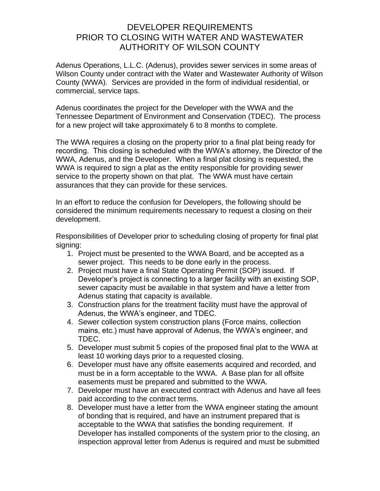# DEVELOPER REQUIREMENTS PRIOR TO CLOSING WITH WATER AND WASTEWATER AUTHORITY OF WILSON COUNTY

Adenus Operations, L.L.C. (Adenus), provides sewer services in some areas of Wilson County under contract with the Water and Wastewater Authority of Wilson County (WWA). Services are provided in the form of individual residential, or commercial, service taps.

Adenus coordinates the project for the Developer with the WWA and the Tennessee Department of Environment and Conservation (TDEC). The process for a new project will take approximately 6 to 8 months to complete.

The WWA requires a closing on the property prior to a final plat being ready for recording. This closing is scheduled with the WWA's attorney, the Director of the WWA, Adenus, and the Developer. When a final plat closing is requested, the WWA is required to sign a plat as the entity responsible for providing sewer service to the property shown on that plat. The WWA must have certain assurances that they can provide for these services.

In an effort to reduce the confusion for Developers, the following should be considered the minimum requirements necessary to request a closing on their development.

Responsibilities of Developer prior to scheduling closing of property for final plat signing:

- 1. Project must be presented to the WWA Board, and be accepted as a sewer project. This needs to be done early in the process.
- 2. Project must have a final State Operating Permit (SOP) issued. If Developer's project is connecting to a larger facility with an existing SOP, sewer capacity must be available in that system and have a letter from Adenus stating that capacity is available.
- 3. Construction plans for the treatment facility must have the approval of Adenus, the WWA's engineer, and TDEC.
- 4. Sewer collection system construction plans (Force mains, collection mains, etc.) must have approval of Adenus, the WWA's engineer, and TDEC.
- 5. Developer must submit 5 copies of the proposed final plat to the WWA at least 10 working days prior to a requested closing.
- 6. Developer must have any offsite easements acquired and recorded, and must be in a form acceptable to the WWA. A Base plan for all offsite easements must be prepared and submitted to the WWA.
- 7. Developer must have an executed contract with Adenus and have all fees paid according to the contract terms.
- 8. Developer must have a letter from the WWA engineer stating the amount of bonding that is required, and have an instrument prepared that is acceptable to the WWA that satisfies the bonding requirement. If Developer has installed components of the system prior to the closing, an inspection approval letter from Adenus is required and must be submitted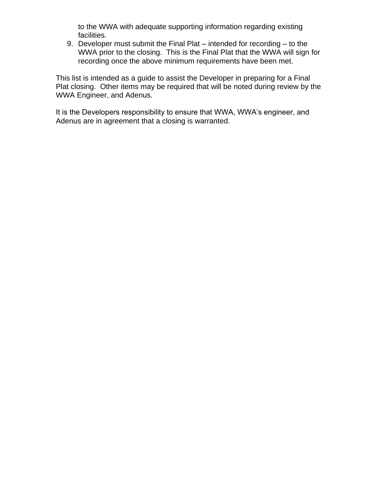to the WWA with adequate supporting information regarding existing facilities.

9. Developer must submit the Final Plat – intended for recording – to the WWA prior to the closing. This is the Final Plat that the WWA will sign for recording once the above minimum requirements have been met.

This list is intended as a guide to assist the Developer in preparing for a Final Plat closing. Other items may be required that will be noted during review by the WWA Engineer, and Adenus.

It is the Developers responsibility to ensure that WWA, WWA's engineer, and Adenus are in agreement that a closing is warranted.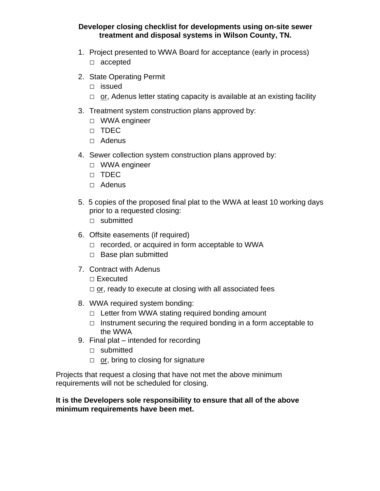### **Developer closing checklist for developments using on-site sewer treatment and disposal systems in Wilson County, TN.**

- 1. Project presented to WWA Board for acceptance (early in process) □ accepted
- 2. State Operating Permit
	- □ issued
	- $\Box$  or, Adenus letter stating capacity is available at an existing facility
- 3. Treatment system construction plans approved by:
	- □ WWA engineer
	- □ TDEC
	- □ Adenus
- 4. Sewer collection system construction plans approved by:
	- □ WWA engineer
	- □ TDEC
	- □ Adenus
- 5. 5 copies of the proposed final plat to the WWA at least 10 working days prior to a requested closing:
	- □ submitted
- 6. Offsite easements (if required)
	- $\Box$  recorded, or acquired in form acceptable to WWA
	- □ Base plan submitted
- 7. Contract with Adenus
	- □ Executed
	- $\Box$  or, ready to execute at closing with all associated fees
- 8. WWA required system bonding:
	- $\Box$  Letter from WWA stating required bonding amount
	- $\Box$  Instrument securing the required bonding in a form acceptable to the WWA
- 9. Final plat intended for recording
	- □ submitted
	- $\Box$  or, bring to closing for signature

Projects that request a closing that have not met the above minimum requirements will not be scheduled for closing.

### **It is the Developers sole responsibility to ensure that all of the above minimum requirements have been met.**